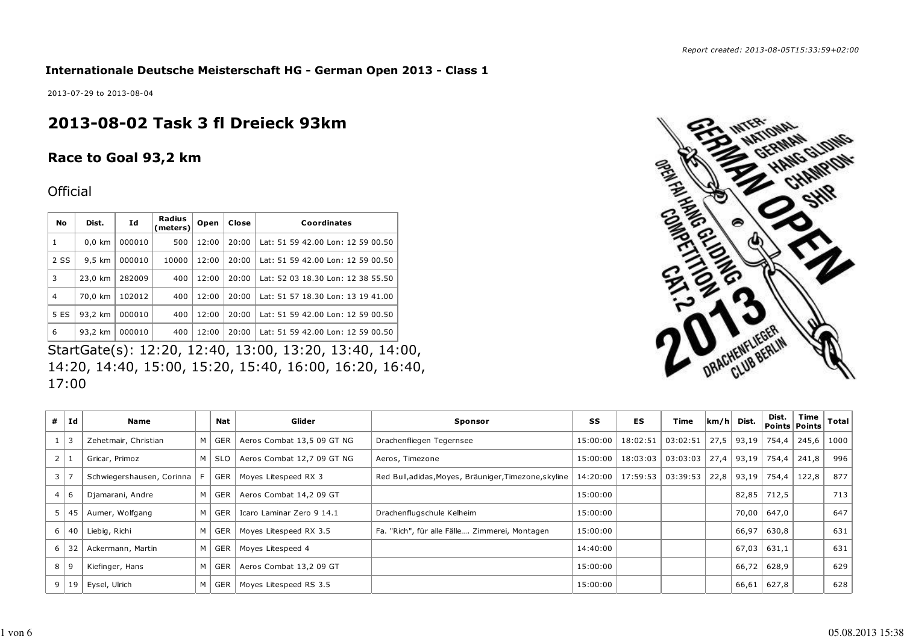**Internationale Deutsche Meisterschaft HG - German Open 2013 - Class 1**

2013-07-29 to 2013-08-04

# **2013-08-02 Task 3 fl Dreieck 93km**

## **Race to Goal 93,2 km**

## **Official**

| No             | Dist.            | Id     | Radius<br>(meters) | Open  | Close | Coordinates                       |
|----------------|------------------|--------|--------------------|-------|-------|-----------------------------------|
| 1              | $0,0$ km         | 000010 | 500                | 12:00 | 20:00 | Lat: 51 59 42.00 Lon: 12 59 00.50 |
| 2 SS           | $9.5 \text{ km}$ | 000010 | 10000              | 12:00 | 20:00 | Lat: 51 59 42.00 Lon: 12 59 00.50 |
| 3              | 23,0 km          | 282009 | 400                | 12:00 | 20:00 | Lat: 52 03 18.30 Lon: 12 38 55.50 |
| $\overline{4}$ | 70,0 km          | 102012 | 400                | 12:00 | 20:00 | Lat: 51 57 18.30 Lon: 13 19 41.00 |
| 5 ES           | 93.2 km          | 000010 | 400                | 12:00 | 20:00 | Lat: 51 59 42.00 Lon: 12 59 00.50 |
| 6              | 93,2 km          | 000010 | 400                | 12:00 | 20:00 | Lat: 51 59 42.00 Lon: 12 59 00.50 |

StartGate(s): 12:20, 12:40, 13:00, 13:20, 13:40, 14:00, 14:20, 14:40, 15:00, 15:20, 15:40, 16:00, 16:20, 16:40, 17:00



| #              | Ιd         | <b>Name</b>               |   | <b>Nat</b> | Glider                     | Sponsor                                               | SS       | <b>ES</b> | Time                  |      | $ km/h $ Dist. | Dist. | Time<br>Points Points | Total |
|----------------|------------|---------------------------|---|------------|----------------------------|-------------------------------------------------------|----------|-----------|-----------------------|------|----------------|-------|-----------------------|-------|
|                | $1 \mid 3$ | Zehetmair, Christian      | м | GER        | Aeros Combat 13,5 09 GT NG | Drachenfliegen Tegernsee                              | 15:00:00 | 18:02:51  | 03:02:51              | 27,5 | 93,19          | 754,4 | 245,6                 | 1000  |
|                | $2 \mid 1$ | Gricar, Primoz            | м | <b>SLO</b> | Aeros Combat 12,7 09 GT NG | Aeros, Timezone                                       | 15:00:00 |           | $18:03:03$   03:03:03 |      | $27,4$   93,19 | 754,4 | 241,8                 | 996   |
| 3 <sup>1</sup> |            | Schwiegershausen, Corinna |   | GER        | Moyes Litespeed RX 3       | Red Bull, adidas, Moyes, Bräuniger, Timezone, skyline | 14:20:00 | 17:59:53  | 03:39:53              | 22,8 | 93,19          | 754,4 | 122,8                 | 877   |
|                | 4 6        | Djamarani, Andre          | M | GER        | Aeros Combat 14,2 09 GT    |                                                       | 15:00:00 |           |                       |      | 82,85          | 712,5 |                       | 713   |
| 5 <sup>1</sup> | -45        | Aumer, Wolfgang           | м | GER        | Icaro Laminar Zero 9 14.1  | Drachenflugschule Kelheim                             | 15:00:00 |           |                       |      | 70,00          | 647,0 |                       | 647   |
|                | 6 40       | Liebig, Richi             | M | GER        | Moyes Litespeed RX 3.5     | Fa. "Rich", für alle Fälle Zimmerei, Montagen         | 15:00:00 |           |                       |      | 66,97          | 630,8 |                       | 631   |
| 6 I            | 32         | Ackermann, Martin         | M | GER        | Moyes Litespeed 4          |                                                       | 14:40:00 |           |                       |      | 67,03          | 631,1 |                       | 631   |
|                | 8 9        | Kiefinger, Hans           | M | GER        | Aeros Combat 13,2 09 GT    |                                                       | 15:00:00 |           |                       |      | 66,72          | 628,9 |                       | 629   |
| 9              | 19         | Eysel, Ulrich             | M | GER        | Moyes Litespeed RS 3.5     |                                                       | 15:00:00 |           |                       |      | 66,61          | 627,8 |                       | 628   |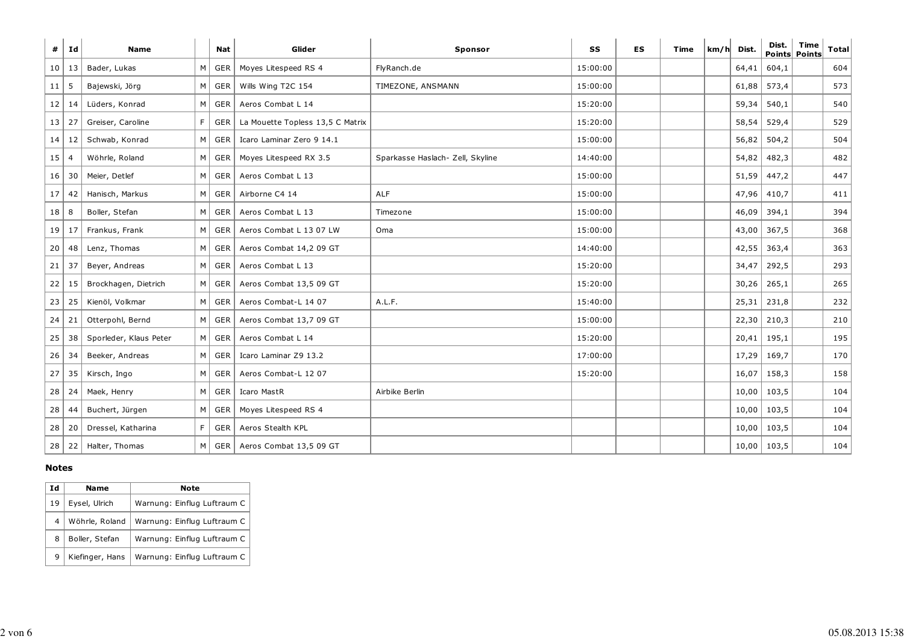| #               | Id             | <b>Name</b>            |                | <b>Nat</b>            | Glider                           | Sponsor                          | SS       | <b>ES</b> | Time | km/h | Dist. | Dist.           | <b>Time</b><br><b>Points Points</b> | <b>Total</b> |
|-----------------|----------------|------------------------|----------------|-----------------------|----------------------------------|----------------------------------|----------|-----------|------|------|-------|-----------------|-------------------------------------|--------------|
|                 | 10   13        | Bader, Lukas           | M              | GER                   | Moyes Litespeed RS 4             | FlyRanch.de                      | 15:00:00 |           |      |      | 64,41 | 604,1           |                                     | 604          |
| 11              | 5              | Bajewski, Jörg         | M I            | GER                   | Wills Wing T2C 154               | TIMEZONE, ANSMANN                | 15:00:00 |           |      |      | 61,88 | 573,4           |                                     | 573          |
| 12              | 14             | Lüders, Konrad         | $M \mid$       | GER                   | Aeros Combat L 14                |                                  | 15:20:00 |           |      |      | 59,34 | 540,1           |                                     | 540          |
| 13              | 27             | Greiser, Caroline      | F              | GER                   | La Mouette Topless 13,5 C Matrix |                                  | 15:20:00 |           |      |      | 58,54 | 529,4           |                                     | 529          |
| 14              | 12             | Schwab, Konrad         |                | $M \mid GER$          | Icaro Laminar Zero 9 14.1        |                                  | 15:00:00 |           |      |      | 56,82 | 504,2           |                                     | 504          |
| 15              | $\overline{4}$ | Wöhrle, Roland         |                | $M \vert$ GER $\vert$ | Moyes Litespeed RX 3.5           | Sparkasse Haslach- Zell, Skyline | 14:40:00 |           |      |      | 54,82 | 482,3           |                                     | 482          |
| 16              | 30             | Meier, Detlef          | $M \mid$       | GER                   | Aeros Combat L 13                |                                  | 15:00:00 |           |      |      | 51,59 | 447,2           |                                     | 447          |
| 17              | 42             | Hanisch, Markus        |                | $M \mid GER \mid$     | Airborne C4 14                   | <b>ALF</b>                       | 15:00:00 |           |      |      |       | $47,96$ 410,7   |                                     | 411          |
| 18              | 8              | Boller, Stefan         |                | $M \vert$ GER         | Aeros Combat L 13                | Timezone                         | 15:00:00 |           |      |      | 46,09 | 394,1           |                                     | 394          |
| 19 <sup>1</sup> | 17             | Frankus, Frank         |                | M GER                 | Aeros Combat L 13 07 LW          | Oma                              | 15:00:00 |           |      |      | 43,00 | 367,5           |                                     | 368          |
| 20              | 48             | Lenz, Thomas           | M <sub>1</sub> | GER                   | Aeros Combat 14,2 09 GT          |                                  | 14:40:00 |           |      |      | 42,55 | 363,4           |                                     | 363          |
| 21              | 37             | Beyer, Andreas         | $M \mid$       | GER                   | Aeros Combat L 13                |                                  | 15:20:00 |           |      |      | 34,47 | 292,5           |                                     | 293          |
| 22              | 15             | Brockhagen, Dietrich   | M <sub>1</sub> | GER                   | Aeros Combat 13,5 09 GT          |                                  | 15:20:00 |           |      |      | 30,26 | 265,1           |                                     | 265          |
| 23              | 25             | Kienöl, Volkmar        |                | M GER                 | Aeros Combat-L 14 07             | A.L.F.                           | 15:40:00 |           |      |      |       | $25,31$   231,8 |                                     | 232          |
| 24              | 21             | Otterpohl, Bernd       | M <sub>1</sub> | GER                   | Aeros Combat 13,7 09 GT          |                                  | 15:00:00 |           |      |      | 22,30 | 210,3           |                                     | 210          |
| 25              | 38             | Sporleder, Klaus Peter |                | M GER                 | Aeros Combat L 14                |                                  | 15:20:00 |           |      |      |       | $20,41$   195,1 |                                     | 195          |
| 26              | 34             | Beeker, Andreas        | M <sub>l</sub> | GER                   | Icaro Laminar Z9 13.2            |                                  | 17:00:00 |           |      |      | 17,29 | 169,7           |                                     | 170          |
| 27              | 35             | Kirsch, Ingo           |                | M GER                 | Aeros Combat-L 12 07             |                                  | 15:20:00 |           |      |      | 16,07 | 158,3           |                                     | 158          |
| 28              | 24             | Maek, Henry            |                | $M \vert$ GER         | Icaro MastR                      | Airbike Berlin                   |          |           |      |      | 10,00 | 103,5           |                                     | 104          |
| 28              | 44             | Buchert, Jürgen        | $M \mid$       | GER                   | Moyes Litespeed RS 4             |                                  |          |           |      |      | 10,00 | 103,5           |                                     | 104          |
| 28              | 20             | Dressel, Katharina     | F.             | GER                   | Aeros Stealth KPL                |                                  |          |           |      |      | 10,00 | 103,5           |                                     | 104          |
| 28              | 22             | Halter, Thomas         |                | $M \mid GER \mid$     | Aeros Combat 13,5 09 GT          |                                  |          |           |      |      |       | $10,00$   103,5 |                                     | 104          |

### **Notes**

| Id | <b>Name</b>     | Note                        |
|----|-----------------|-----------------------------|
| 19 | Eysel, Ulrich   | Warnung: Einflug Luftraum C |
| 4  | Wöhrle, Roland  | Warnung: Einflug Luftraum C |
| 8  | Boller, Stefan  | Warnung: Einflug Luftraum C |
|    | Kiefinger, Hans | Warnung: Einflug Luftraum C |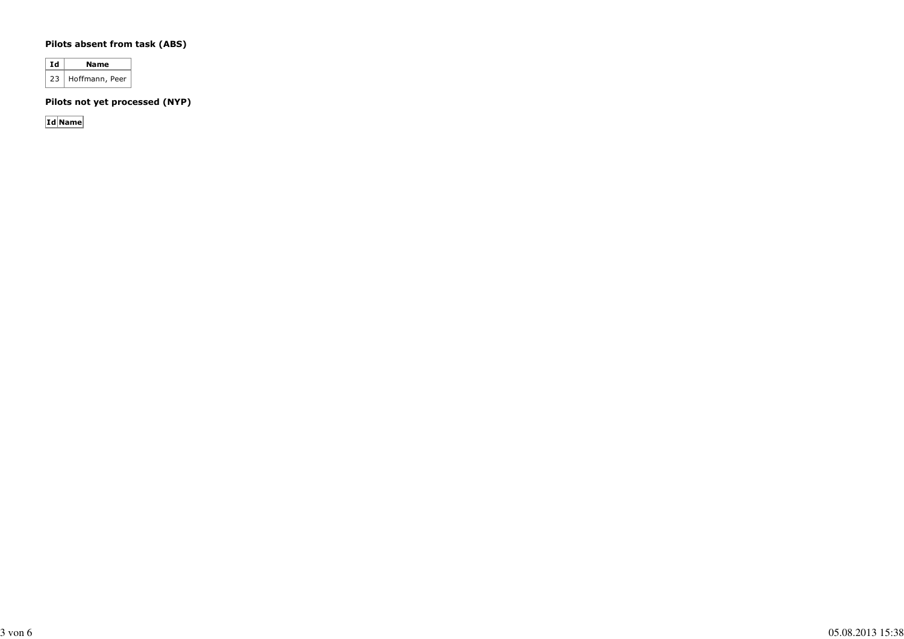#### **Pilots absent from task (ABS)**

**Id Name** 23 Hoffmann, Peer

**Pilots not yet processed (NYP)**

**Id Name**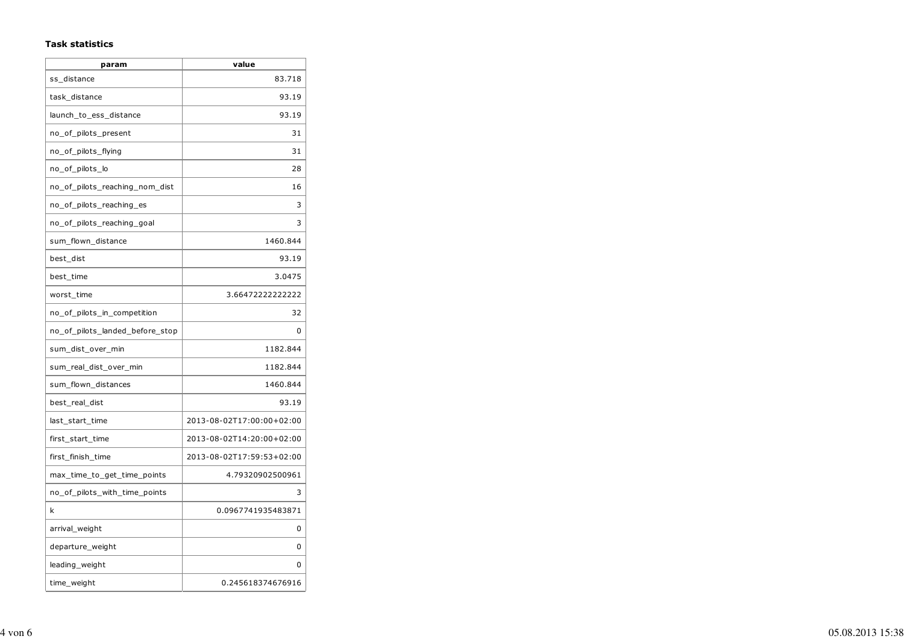#### **Task statistics**

| param                           | value                     |
|---------------------------------|---------------------------|
| ss_distance                     | 83.718                    |
| task_distance                   | 93.19                     |
| launch_to_ess_distance          | 93.19                     |
| no_of_pilots_present            | 31                        |
| no_of_pilots_flying             | 31                        |
| no_of_pilots_lo                 | 28                        |
| no_of_pilots_reaching_nom_dist  | 16                        |
| no of pilots reaching es        | 3                         |
| no_of_pilots_reaching_goal      | 3                         |
| sum flown distance              | 1460.844                  |
| best dist                       | 93.19                     |
| best_time                       | 3.0475                    |
| worst_time                      | 3.66472222222222          |
| no_of_pilots_in_competition     | 32                        |
| no_of_pilots_landed_before_stop | 0                         |
| sum_dist_over_min               | 1182.844                  |
| sum_real_dist_over_min          | 1182.844                  |
| sum_flown_distances             | 1460.844                  |
| best_real_dist                  | 93.19                     |
| last_start_time                 | 2013-08-02T17:00:00+02:00 |
| first_start_time                | 2013-08-02T14:20:00+02:00 |
| first_finish_time               | 2013-08-02T17:59:53+02:00 |
| max_time_to_get_time_points     | 4.79320902500961          |
| no_of_pilots_with_time_points   | 3                         |
| k                               | 0.0967741935483871        |
| arrival_weight                  | 0                         |
| departure_weight                | 0                         |
| leading_weight                  | 0                         |
| time_weight                     | 0.245618374676916         |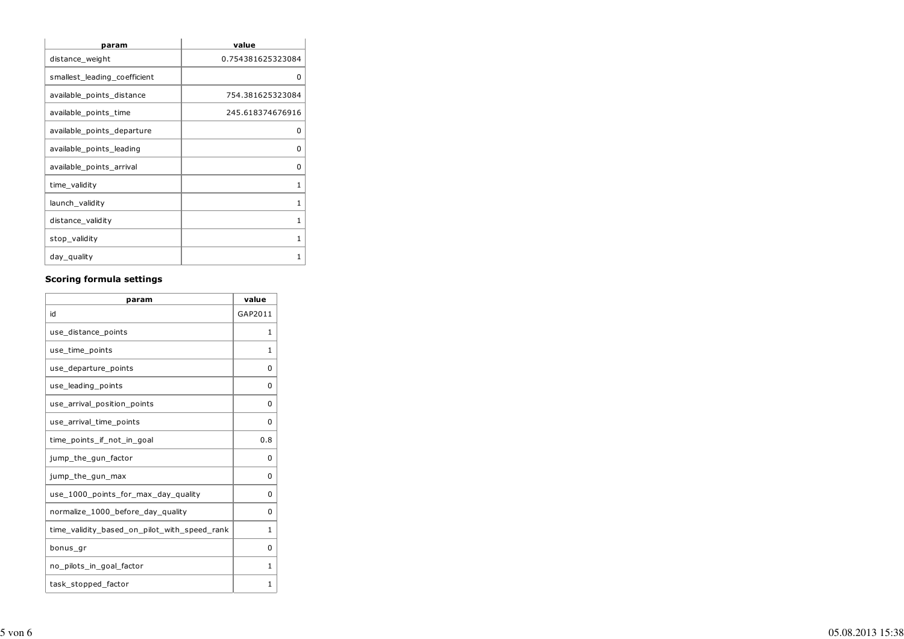| param                        | value             |
|------------------------------|-------------------|
| distance_weight              | 0.754381625323084 |
| smallest_leading_coefficient | 0                 |
| available_points_distance    | 754.381625323084  |
| available_points_time        | 245.618374676916  |
| available_points_departure   | O                 |
| available_points_leading     | ŋ                 |
| available_points_arrival     | 0                 |
| time_validity                | 1                 |
| launch_validity              | 1                 |
| distance_validity            | 1                 |
| stop_validity                | 1                 |
| day_quality                  | 1                 |

#### **Scoring formula settings**

| param                                        | value   |  |  |
|----------------------------------------------|---------|--|--|
| id                                           | GAP2011 |  |  |
| use_distance_points                          | 1       |  |  |
| use_time_points                              | 1       |  |  |
| use_departure_points                         | 0       |  |  |
| use_leading_points                           | 0       |  |  |
| use arrival position points                  | 0       |  |  |
| use_arrival_time_points                      | 0       |  |  |
| time points if not in goal                   | 0.8     |  |  |
| jump_the_gun_factor                          | 0       |  |  |
| jump_the_gun_max                             | 0       |  |  |
| use_1000_points_for_max_day_quality          | 0       |  |  |
| normalize_1000_before_day_quality            | 0       |  |  |
| time_validity_based_on_pilot_with_speed_rank | 1       |  |  |
| bonus_gr                                     | 0       |  |  |
| no_pilots_in_goal_factor                     | 1       |  |  |
| task_stopped_factor                          | 1       |  |  |